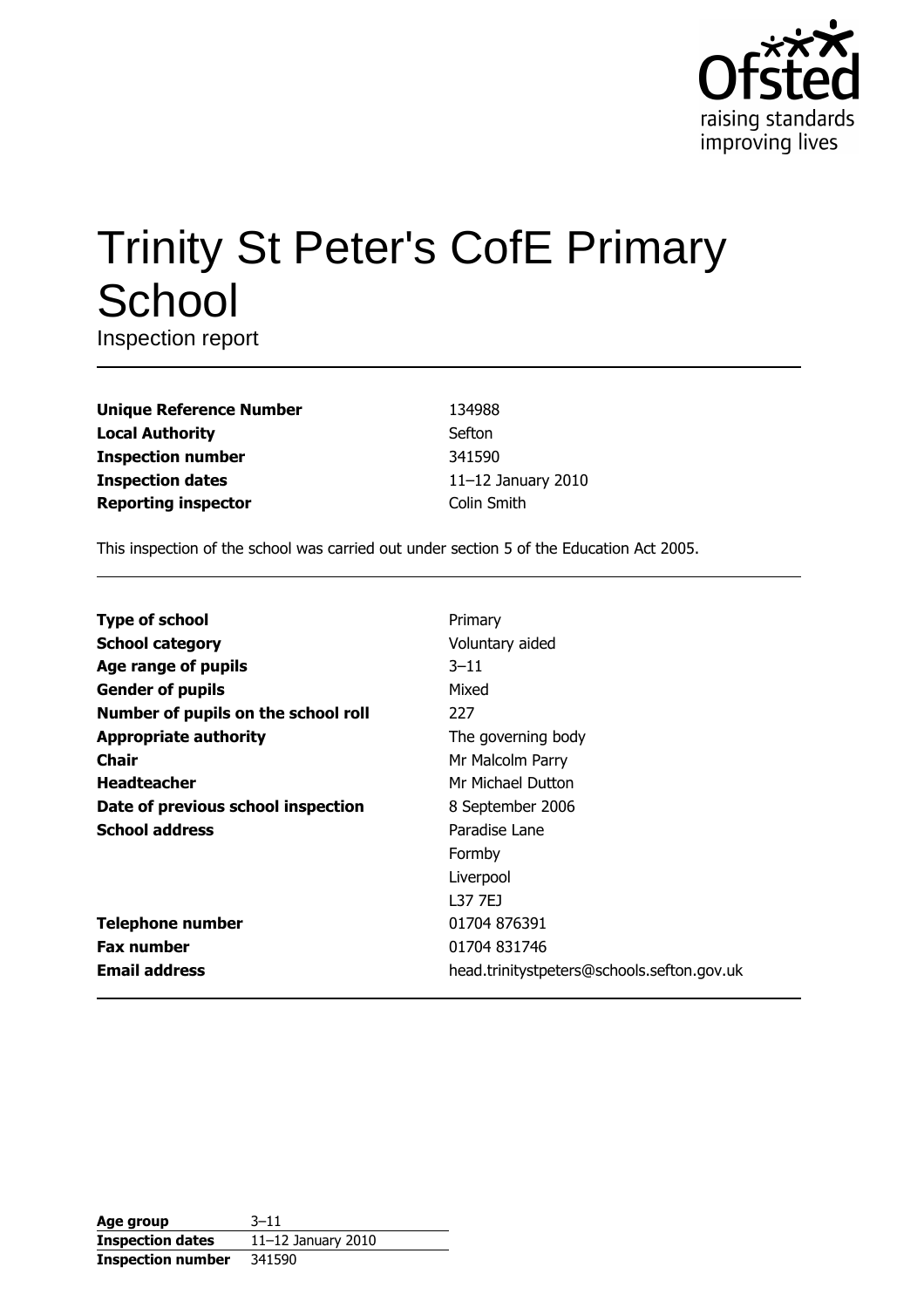

# **Trinity St Peter's CofE Primary** School

Inspection report

| <b>Unique Reference Number</b> |
|--------------------------------|
| <b>Local Authority</b>         |
| <b>Inspection number</b>       |
| <b>Inspection dates</b>        |
| <b>Reporting inspector</b>     |

134988 Sefton 341590 11-12 January 2010 Colin Smith

This inspection of the school was carried out under section 5 of the Education Act 2005.

| <b>Type of school</b>               | Primary                                    |
|-------------------------------------|--------------------------------------------|
| <b>School category</b>              | Voluntary aided                            |
| Age range of pupils                 | $3 - 11$                                   |
| <b>Gender of pupils</b>             | Mixed                                      |
| Number of pupils on the school roll | 227                                        |
| <b>Appropriate authority</b>        | The governing body                         |
| Chair                               | Mr Malcolm Parry                           |
| <b>Headteacher</b>                  | Mr Michael Dutton                          |
| Date of previous school inspection  | 8 September 2006                           |
| <b>School address</b>               | Paradise Lane                              |
|                                     | Formby                                     |
|                                     | Liverpool                                  |
|                                     | L37 7EJ                                    |
| <b>Telephone number</b>             | 01704 876391                               |
| <b>Fax number</b>                   | 01704 831746                               |
| <b>Email address</b>                | head.trinitystpeters@schools.sefton.gov.uk |

| Age group                | $3 - 11$             |
|--------------------------|----------------------|
| <b>Inspection dates</b>  | $11-12$ January 2010 |
| <b>Inspection number</b> | 341590               |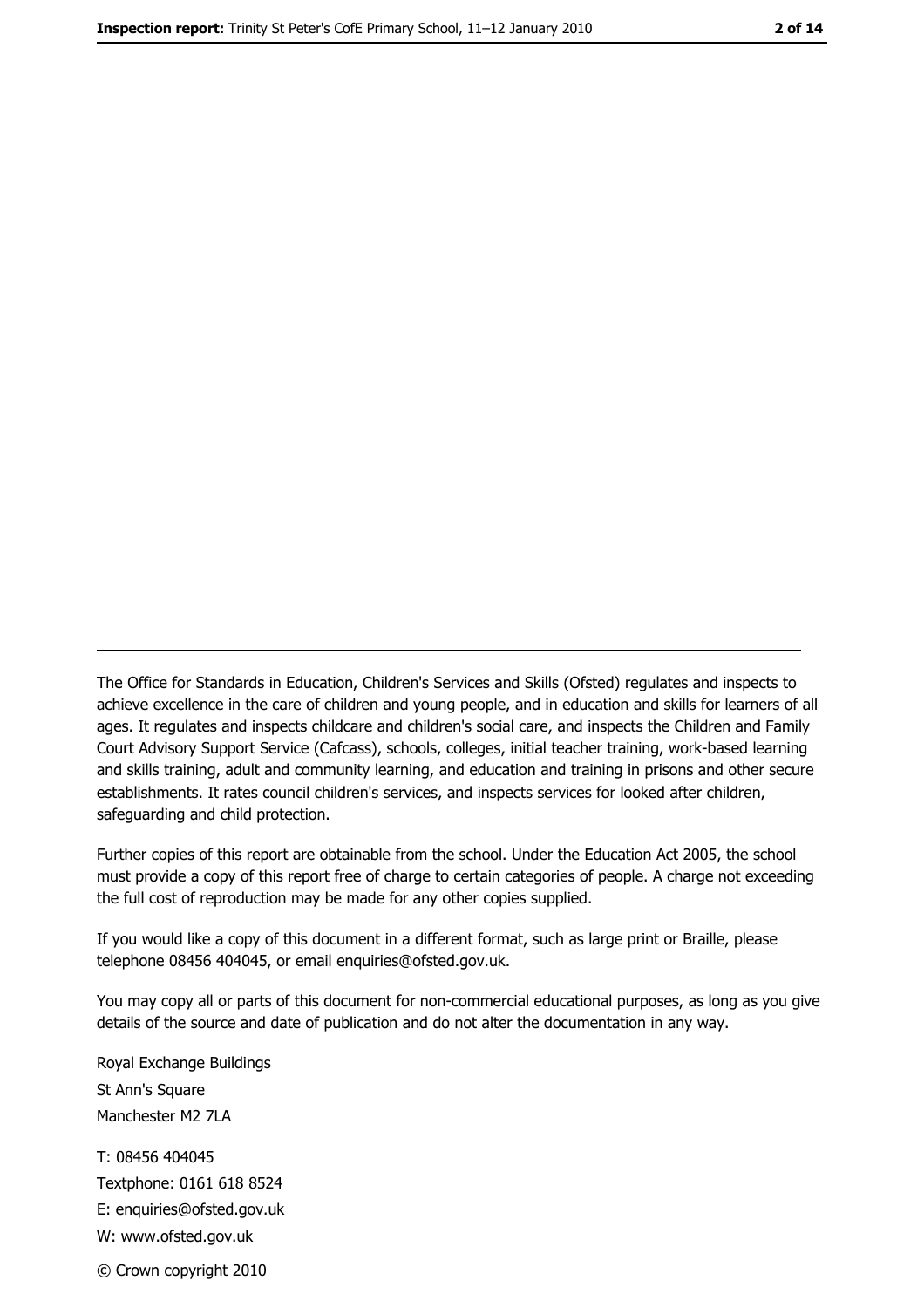The Office for Standards in Education, Children's Services and Skills (Ofsted) regulates and inspects to achieve excellence in the care of children and young people, and in education and skills for learners of all ages. It regulates and inspects childcare and children's social care, and inspects the Children and Family Court Advisory Support Service (Cafcass), schools, colleges, initial teacher training, work-based learning and skills training, adult and community learning, and education and training in prisons and other secure establishments. It rates council children's services, and inspects services for looked after children, safequarding and child protection.

Further copies of this report are obtainable from the school. Under the Education Act 2005, the school must provide a copy of this report free of charge to certain categories of people. A charge not exceeding the full cost of reproduction may be made for any other copies supplied.

If you would like a copy of this document in a different format, such as large print or Braille, please telephone 08456 404045, or email enquiries@ofsted.gov.uk.

You may copy all or parts of this document for non-commercial educational purposes, as long as you give details of the source and date of publication and do not alter the documentation in any way.

Royal Exchange Buildings St Ann's Square Manchester M2 7LA T: 08456 404045 Textphone: 0161 618 8524 E: enquiries@ofsted.gov.uk W: www.ofsted.gov.uk © Crown copyright 2010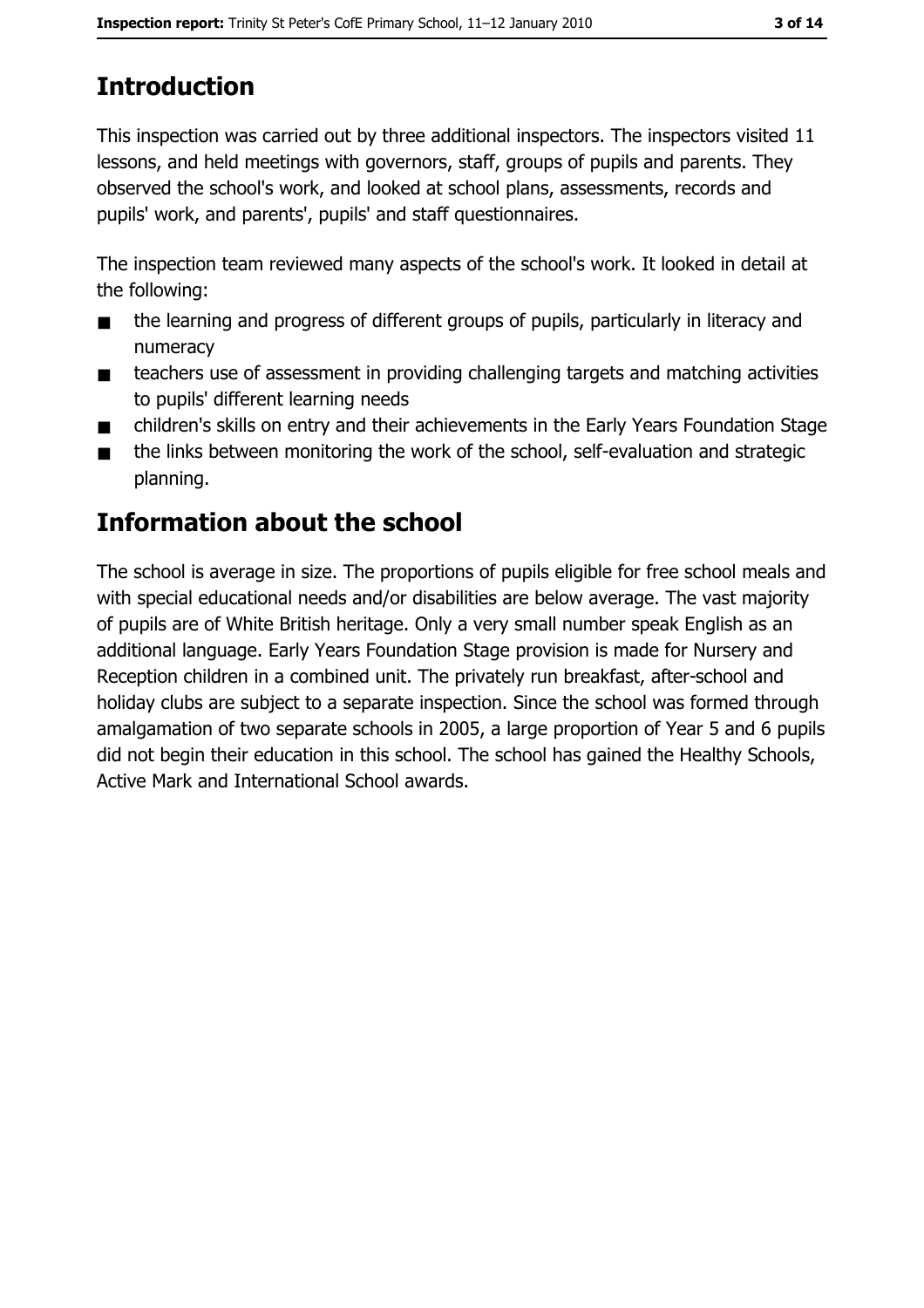# **Introduction**

This inspection was carried out by three additional inspectors. The inspectors visited 11 lessons, and held meetings with governors, staff, groups of pupils and parents. They observed the school's work, and looked at school plans, assessments, records and pupils' work, and parents', pupils' and staff questionnaires.

The inspection team reviewed many aspects of the school's work. It looked in detail at the following:

- the learning and progress of different groups of pupils, particularly in literacy and  $\blacksquare$ numeracy
- teachers use of assessment in providing challenging targets and matching activities  $\blacksquare$ to pupils' different learning needs
- children's skills on entry and their achievements in the Early Years Foundation Stage  $\blacksquare$
- the links between monitoring the work of the school, self-evaluation and strategic  $\blacksquare$ planning.

# **Information about the school**

The school is average in size. The proportions of pupils eligible for free school meals and with special educational needs and/or disabilities are below average. The vast majority of pupils are of White British heritage. Only a very small number speak English as an additional language. Early Years Foundation Stage provision is made for Nursery and Reception children in a combined unit. The privately run breakfast, after-school and holiday clubs are subject to a separate inspection. Since the school was formed through amalgamation of two separate schools in 2005, a large proportion of Year 5 and 6 pupils did not begin their education in this school. The school has gained the Healthy Schools, Active Mark and International School awards.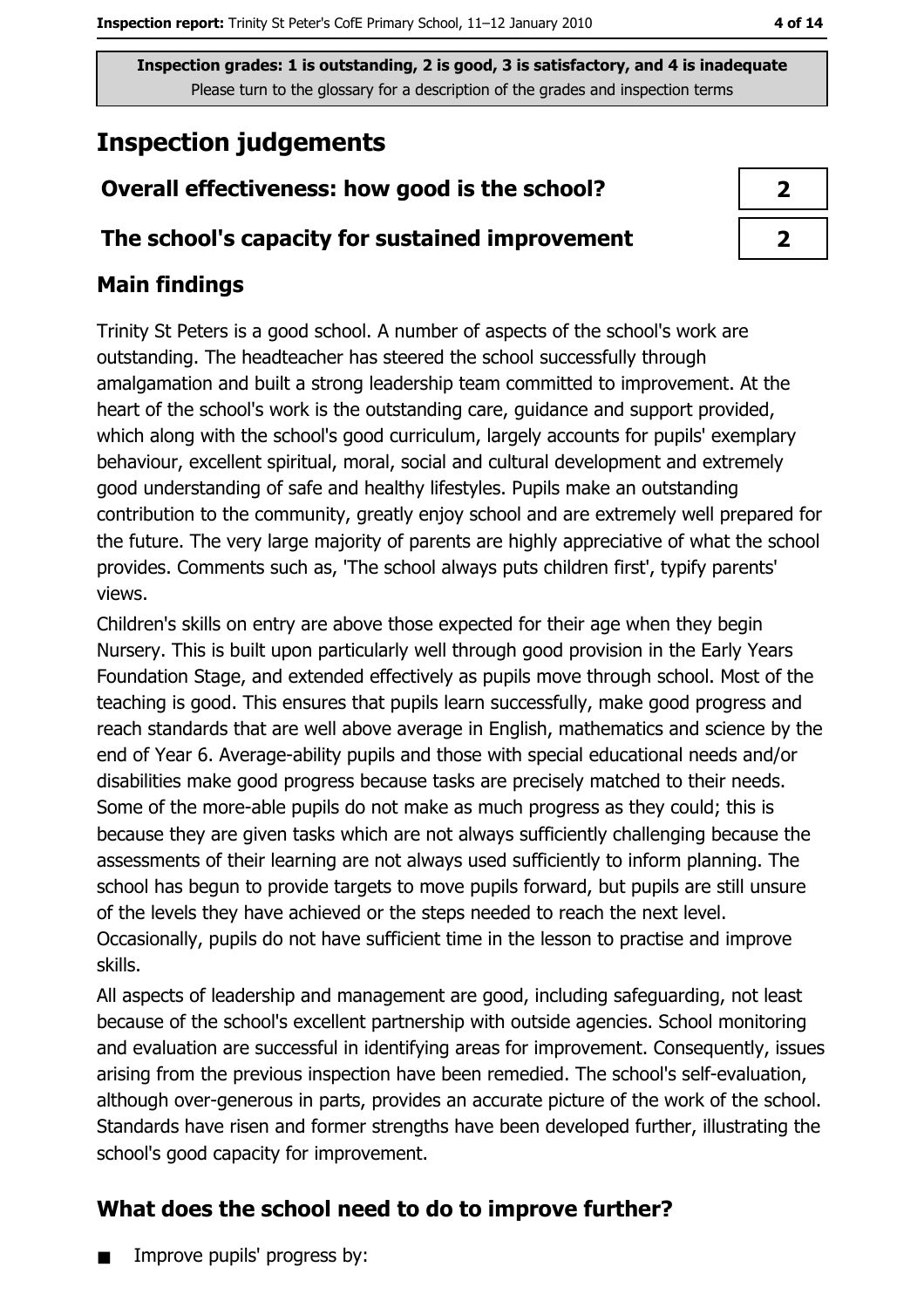# **Inspection judgements**

# Overall effectiveness: how good is the school?

## The school's capacity for sustained improvement

# **Main findings**

Trinity St Peters is a good school. A number of aspects of the school's work are outstanding. The headteacher has steered the school successfully through amalgamation and built a strong leadership team committed to improvement. At the heart of the school's work is the outstanding care, guidance and support provided, which along with the school's good curriculum, largely accounts for pupils' exemplary behaviour, excellent spiritual, moral, social and cultural development and extremely good understanding of safe and healthy lifestyles. Pupils make an outstanding contribution to the community, greatly enjoy school and are extremely well prepared for the future. The very large majority of parents are highly appreciative of what the school provides. Comments such as, 'The school always puts children first', typify parents' views.

Children's skills on entry are above those expected for their age when they begin Nursery. This is built upon particularly well through good provision in the Early Years Foundation Stage, and extended effectively as pupils move through school. Most of the teaching is good. This ensures that pupils learn successfully, make good progress and reach standards that are well above average in English, mathematics and science by the end of Year 6. Average-ability pupils and those with special educational needs and/or disabilities make good progress because tasks are precisely matched to their needs. Some of the more-able pupils do not make as much progress as they could; this is because they are given tasks which are not always sufficiently challenging because the assessments of their learning are not always used sufficiently to inform planning. The school has begun to provide targets to move pupils forward, but pupils are still unsure of the levels they have achieved or the steps needed to reach the next level. Occasionally, pupils do not have sufficient time in the lesson to practise and improve skills.

All aspects of leadership and management are good, including safeguarding, not least because of the school's excellent partnership with outside agencies. School monitoring and evaluation are successful in identifying areas for improvement. Consequently, issues arising from the previous inspection have been remedied. The school's self-evaluation, although over-generous in parts, provides an accurate picture of the work of the school. Standards have risen and former strengths have been developed further, illustrating the school's good capacity for improvement.

# What does the school need to do to improve further?

Improve pupils' progress by:  $\blacksquare$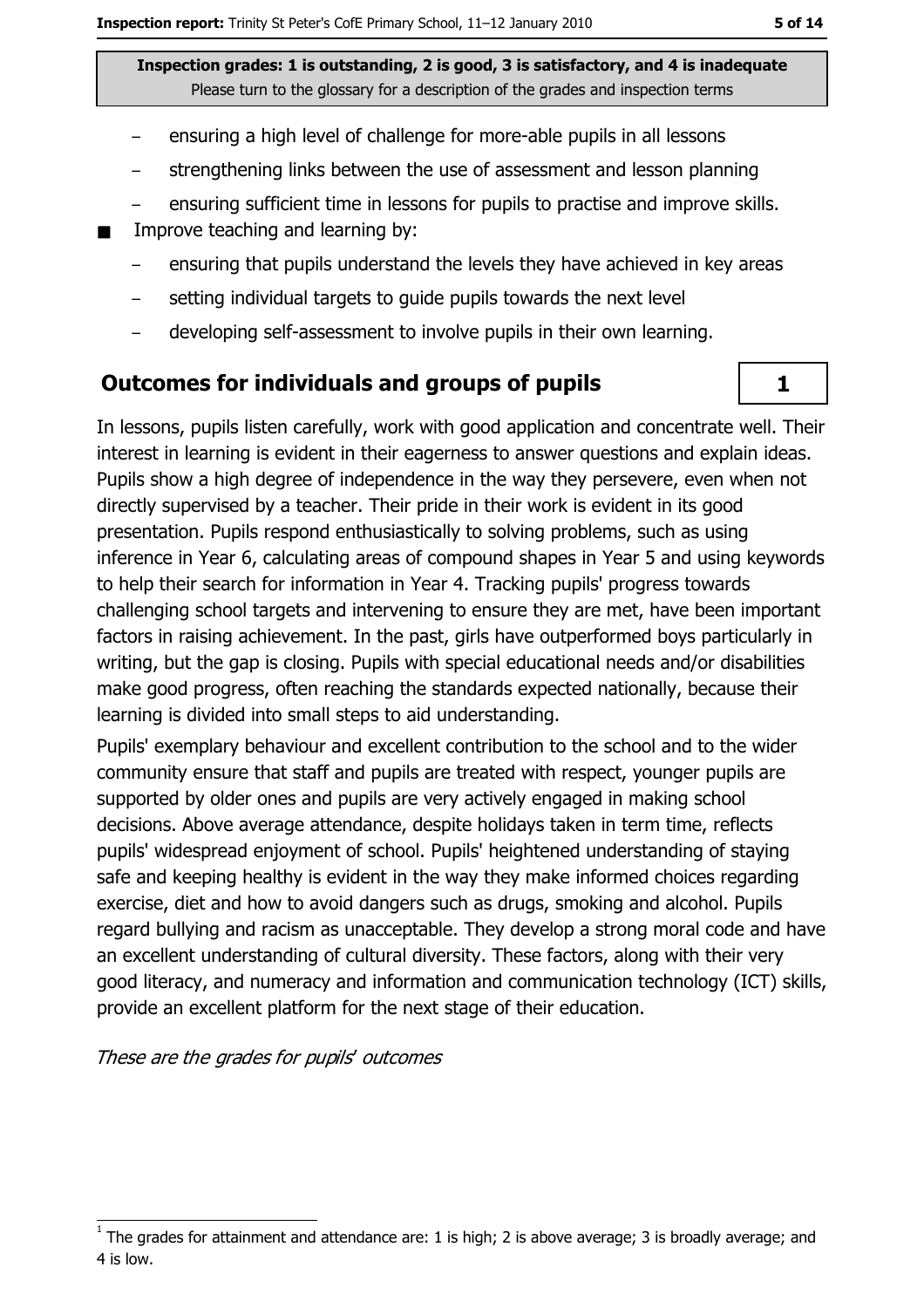- ensuring a high level of challenge for more-able pupils in all lessons
- strengthening links between the use of assessment and lesson planning  $\equiv$
- ensuring sufficient time in lessons for pupils to practise and improve skills.
- Improve teaching and learning by:
	- ensuring that pupils understand the levels they have achieved in key areas
	- setting individual targets to quide pupils towards the next level
	- developing self-assessment to involve pupils in their own learning.

## **Outcomes for individuals and groups of pupils**

In lessons, pupils listen carefully, work with good application and concentrate well. Their interest in learning is evident in their eagerness to answer questions and explain ideas. Pupils show a high degree of independence in the way they persevere, even when not directly supervised by a teacher. Their pride in their work is evident in its good presentation. Pupils respond enthusiastically to solving problems, such as using inference in Year 6, calculating areas of compound shapes in Year 5 and using keywords to help their search for information in Year 4. Tracking pupils' progress towards challenging school targets and intervening to ensure they are met, have been important factors in raising achievement. In the past, girls have outperformed boys particularly in writing, but the gap is closing. Pupils with special educational needs and/or disabilities make good progress, often reaching the standards expected nationally, because their learning is divided into small steps to aid understanding.

Pupils' exemplary behaviour and excellent contribution to the school and to the wider community ensure that staff and pupils are treated with respect, younger pupils are supported by older ones and pupils are very actively engaged in making school decisions. Above average attendance, despite holidays taken in term time, reflects pupils' widespread enjoyment of school. Pupils' heightened understanding of staying safe and keeping healthy is evident in the way they make informed choices regarding exercise, diet and how to avoid dangers such as drugs, smoking and alcohol. Pupils regard bullying and racism as unacceptable. They develop a strong moral code and have an excellent understanding of cultural diversity. These factors, along with their very good literacy, and numeracy and information and communication technology (ICT) skills, provide an excellent platform for the next stage of their education.

These are the grades for pupils' outcomes

 $\mathbf{1}$ 

The grades for attainment and attendance are: 1 is high; 2 is above average; 3 is broadly average; and 4 is low.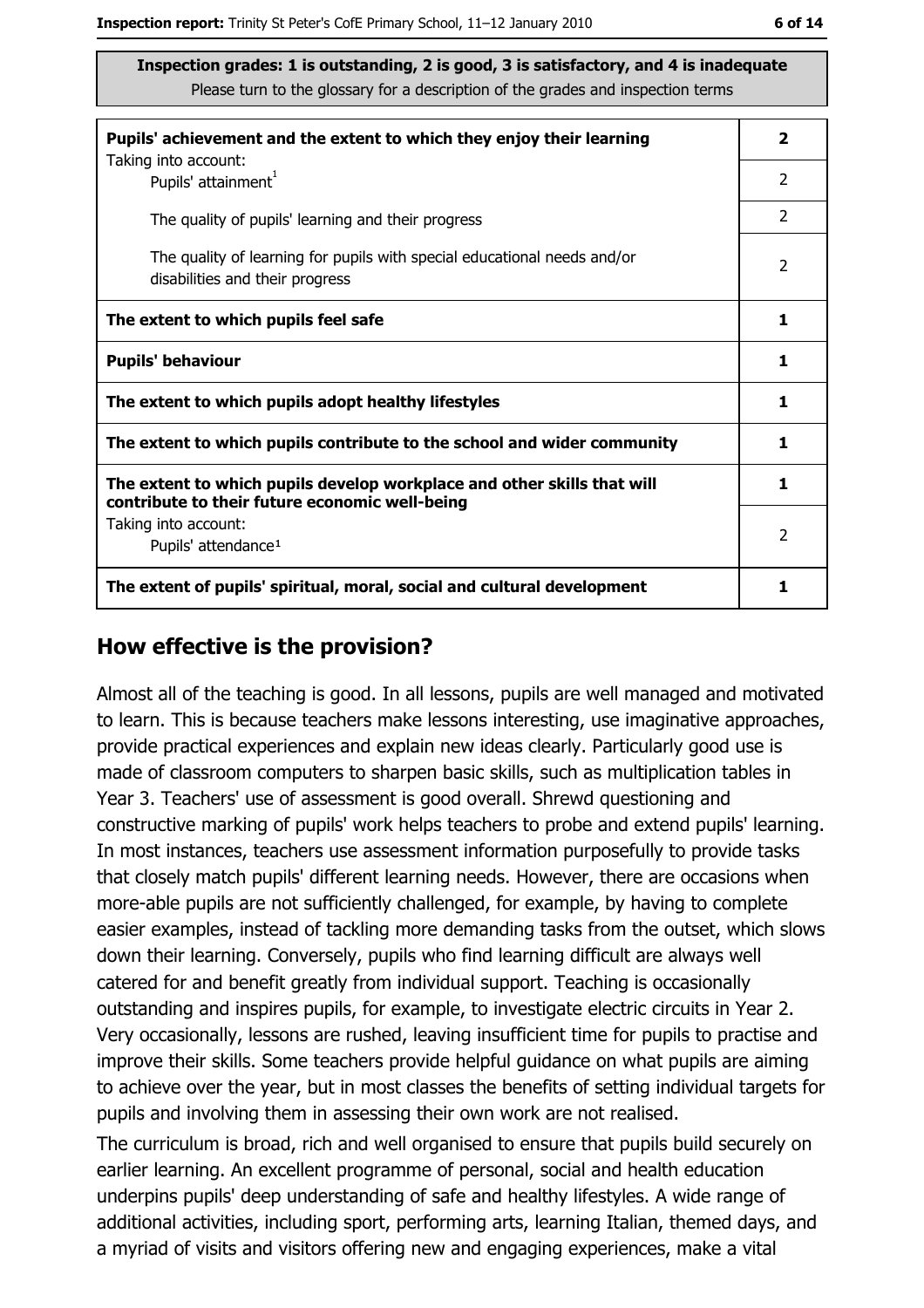| Pupils' achievement and the extent to which they enjoy their learning                                                     | $\overline{\mathbf{2}}$ |
|---------------------------------------------------------------------------------------------------------------------------|-------------------------|
| Taking into account:<br>Pupils' attainment <sup>1</sup>                                                                   | $\overline{2}$          |
| The quality of pupils' learning and their progress                                                                        | $\mathcal{P}$           |
| The quality of learning for pupils with special educational needs and/or<br>disabilities and their progress               | $\overline{2}$          |
| The extent to which pupils feel safe                                                                                      | 1                       |
| <b>Pupils' behaviour</b>                                                                                                  | 1                       |
| The extent to which pupils adopt healthy lifestyles                                                                       | 1                       |
| The extent to which pupils contribute to the school and wider community                                                   | 1                       |
| The extent to which pupils develop workplace and other skills that will<br>contribute to their future economic well-being | 1                       |
| Taking into account:<br>Pupils' attendance <sup>1</sup>                                                                   | 2                       |
| The extent of pupils' spiritual, moral, social and cultural development                                                   | 1                       |

#### How effective is the provision?

Almost all of the teaching is good. In all lessons, pupils are well managed and motivated to learn. This is because teachers make lessons interesting, use imaginative approaches, provide practical experiences and explain new ideas clearly. Particularly good use is made of classroom computers to sharpen basic skills, such as multiplication tables in Year 3. Teachers' use of assessment is good overall. Shrewd questioning and constructive marking of pupils' work helps teachers to probe and extend pupils' learning. In most instances, teachers use assessment information purposefully to provide tasks that closely match pupils' different learning needs. However, there are occasions when more-able pupils are not sufficiently challenged, for example, by having to complete easier examples, instead of tackling more demanding tasks from the outset, which slows down their learning. Conversely, pupils who find learning difficult are always well catered for and benefit greatly from individual support. Teaching is occasionally outstanding and inspires pupils, for example, to investigate electric circuits in Year 2. Very occasionally, lessons are rushed, leaving insufficient time for pupils to practise and improve their skills. Some teachers provide helpful quidance on what pupils are aiming to achieve over the year, but in most classes the benefits of setting individual targets for pupils and involving them in assessing their own work are not realised.

The curriculum is broad, rich and well organised to ensure that pupils build securely on earlier learning. An excellent programme of personal, social and health education underpins pupils' deep understanding of safe and healthy lifestyles. A wide range of additional activities, including sport, performing arts, learning Italian, themed days, and a myriad of visits and visitors offering new and engaging experiences, make a vital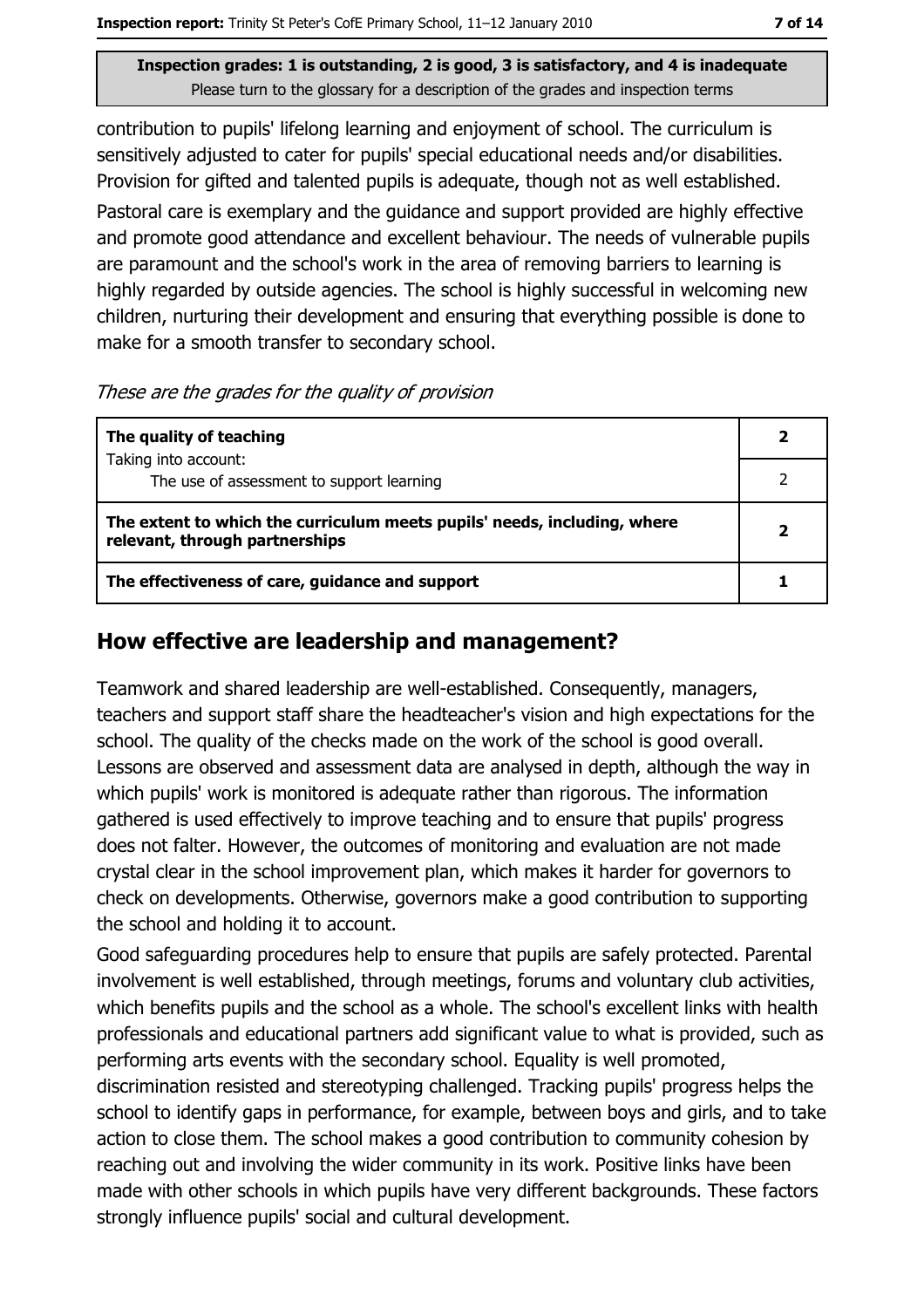contribution to pupils' lifelong learning and enjoyment of school. The curriculum is sensitively adjusted to cater for pupils' special educational needs and/or disabilities. Provision for gifted and talented pupils is adequate, though not as well established.

Pastoral care is exemplary and the quidance and support provided are highly effective and promote good attendance and excellent behaviour. The needs of vulnerable pupils are paramount and the school's work in the area of removing barriers to learning is highly regarded by outside agencies. The school is highly successful in welcoming new children, nurturing their development and ensuring that everything possible is done to make for a smooth transfer to secondary school.

These are the grades for the quality of provision

| The quality of teaching                                                                                    |                         |
|------------------------------------------------------------------------------------------------------------|-------------------------|
| Taking into account:<br>The use of assessment to support learning                                          |                         |
| The extent to which the curriculum meets pupils' needs, including, where<br>relevant, through partnerships | $\overline{\mathbf{2}}$ |
| The effectiveness of care, guidance and support                                                            |                         |

#### How effective are leadership and management?

Teamwork and shared leadership are well-established. Consequently, managers, teachers and support staff share the headteacher's vision and high expectations for the school. The quality of the checks made on the work of the school is good overall. Lessons are observed and assessment data are analysed in depth, although the way in which pupils' work is monitored is adequate rather than rigorous. The information gathered is used effectively to improve teaching and to ensure that pupils' progress does not falter. However, the outcomes of monitoring and evaluation are not made crystal clear in the school improvement plan, which makes it harder for governors to check on developments. Otherwise, governors make a good contribution to supporting the school and holding it to account.

Good safeguarding procedures help to ensure that pupils are safely protected. Parental involvement is well established, through meetings, forums and voluntary club activities, which benefits pupils and the school as a whole. The school's excellent links with health professionals and educational partners add significant value to what is provided, such as performing arts events with the secondary school. Equality is well promoted, discrimination resisted and stereotyping challenged. Tracking pupils' progress helps the school to identify gaps in performance, for example, between boys and girls, and to take action to close them. The school makes a good contribution to community cohesion by reaching out and involving the wider community in its work. Positive links have been made with other schools in which pupils have very different backgrounds. These factors strongly influence pupils' social and cultural development.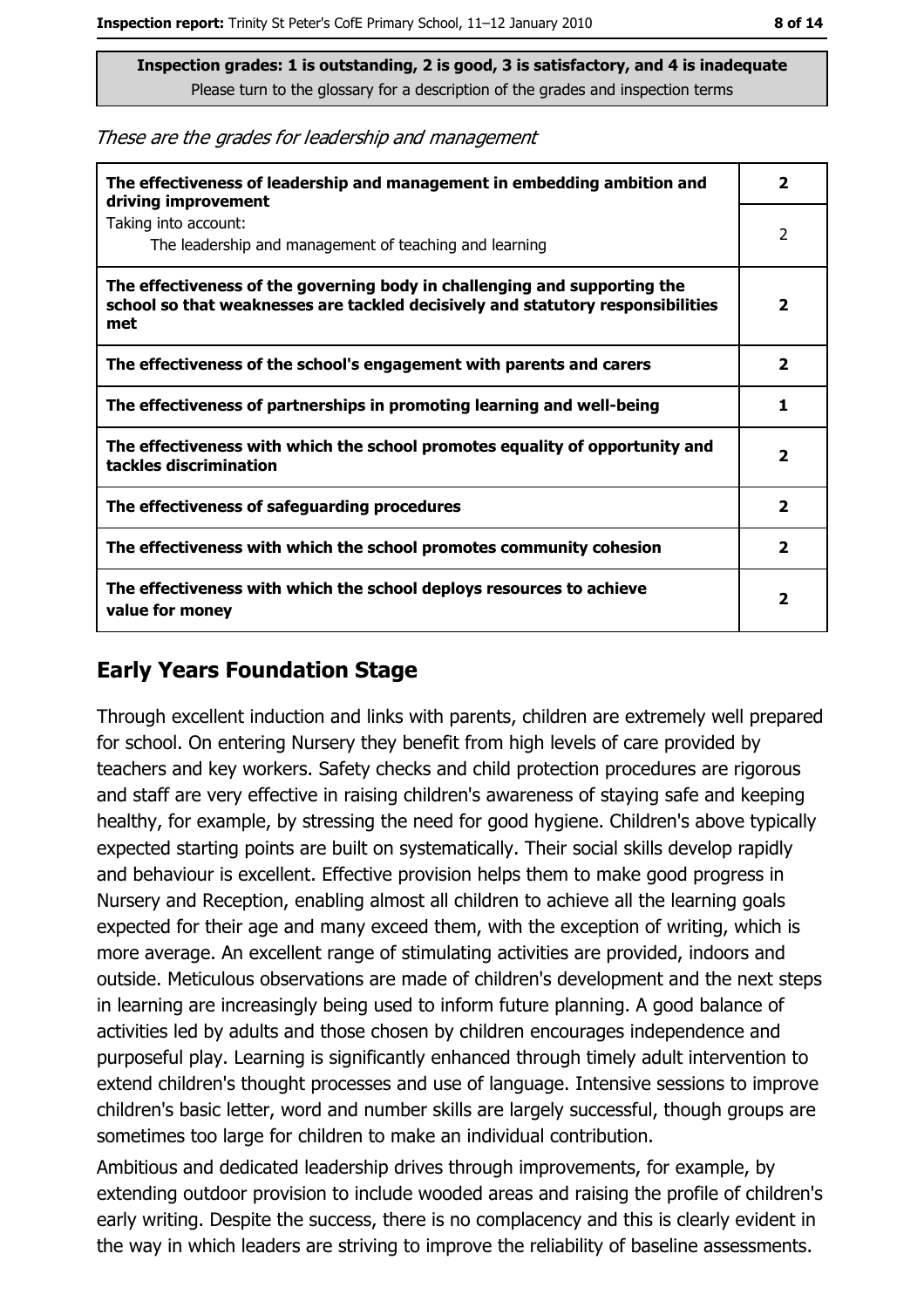These are the grades for leadership and management

| The effectiveness of leadership and management in embedding ambition and<br>driving improvement                                                                     | $\mathbf{2}$            |
|---------------------------------------------------------------------------------------------------------------------------------------------------------------------|-------------------------|
| Taking into account:<br>The leadership and management of teaching and learning                                                                                      | 2                       |
| The effectiveness of the governing body in challenging and supporting the<br>school so that weaknesses are tackled decisively and statutory responsibilities<br>met | 2                       |
| The effectiveness of the school's engagement with parents and carers                                                                                                | $\overline{\mathbf{2}}$ |
| The effectiveness of partnerships in promoting learning and well-being                                                                                              | 1                       |
| The effectiveness with which the school promotes equality of opportunity and<br>tackles discrimination                                                              | 2                       |
| The effectiveness of safeguarding procedures                                                                                                                        | $\overline{\mathbf{2}}$ |
| The effectiveness with which the school promotes community cohesion                                                                                                 | $\overline{\mathbf{2}}$ |
| The effectiveness with which the school deploys resources to achieve<br>value for money                                                                             | 2                       |

## **Early Years Foundation Stage**

Through excellent induction and links with parents, children are extremely well prepared for school. On entering Nursery they benefit from high levels of care provided by teachers and key workers. Safety checks and child protection procedures are rigorous and staff are very effective in raising children's awareness of staying safe and keeping healthy, for example, by stressing the need for good hygiene. Children's above typically expected starting points are built on systematically. Their social skills develop rapidly and behaviour is excellent. Effective provision helps them to make good progress in Nursery and Reception, enabling almost all children to achieve all the learning goals expected for their age and many exceed them, with the exception of writing, which is more average. An excellent range of stimulating activities are provided, indoors and outside. Meticulous observations are made of children's development and the next steps in learning are increasingly being used to inform future planning. A good balance of activities led by adults and those chosen by children encourages independence and purposeful play. Learning is significantly enhanced through timely adult intervention to extend children's thought processes and use of language. Intensive sessions to improve children's basic letter, word and number skills are largely successful, though groups are sometimes too large for children to make an individual contribution.

Ambitious and dedicated leadership drives through improvements, for example, by extending outdoor provision to include wooded areas and raising the profile of children's early writing. Despite the success, there is no complacency and this is clearly evident in the way in which leaders are striving to improve the reliability of baseline assessments.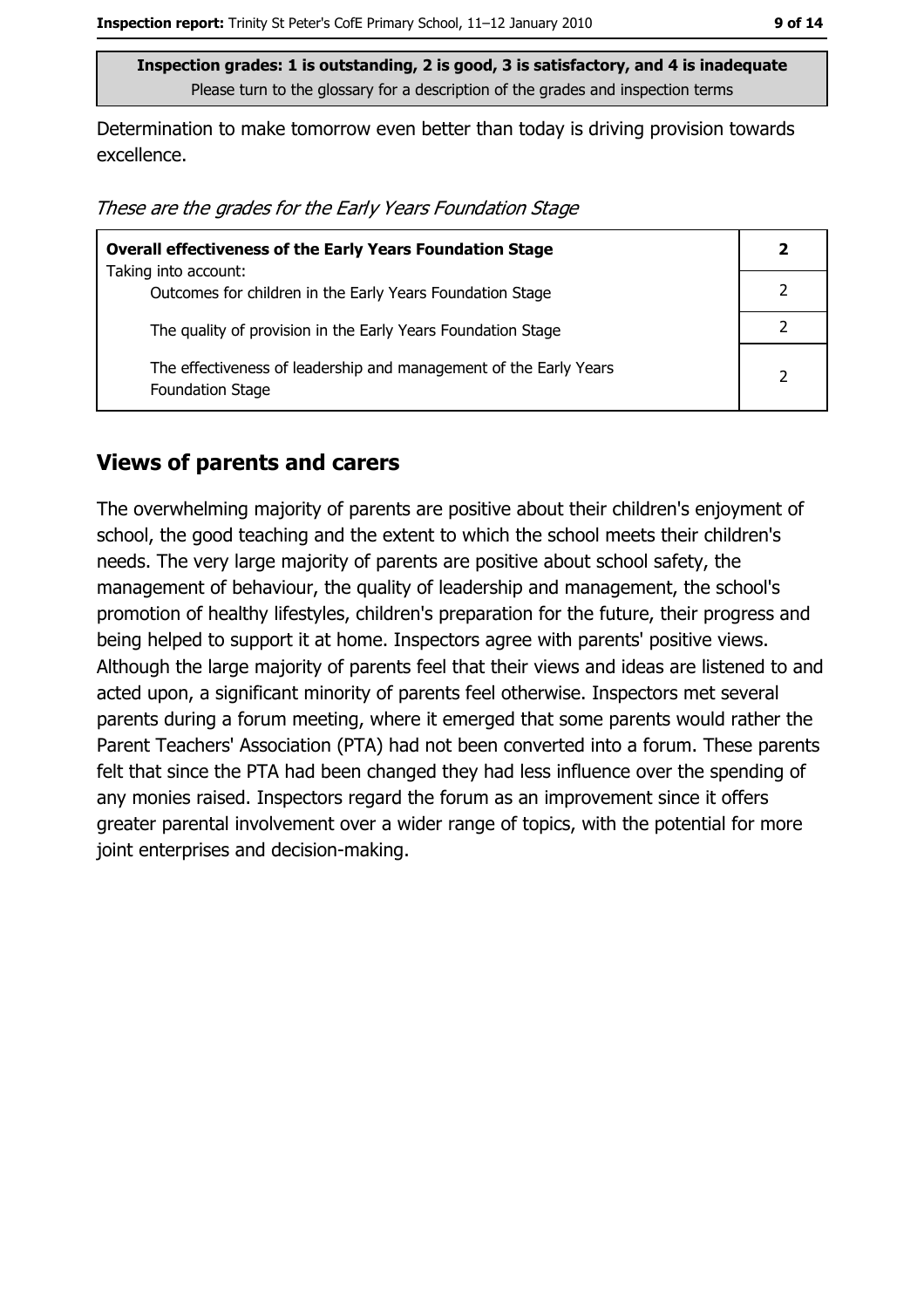Determination to make tomorrow even better than today is driving provision towards excellence.

These are the grades for the Early Years Foundation Stage

| <b>Overall effectiveness of the Early Years Foundation Stage</b>                             |               |  |
|----------------------------------------------------------------------------------------------|---------------|--|
| Taking into account:                                                                         |               |  |
| Outcomes for children in the Early Years Foundation Stage                                    |               |  |
| The quality of provision in the Early Years Foundation Stage                                 |               |  |
| The effectiveness of leadership and management of the Early Years<br><b>Foundation Stage</b> | $\mathcal{P}$ |  |

## **Views of parents and carers**

The overwhelming majority of parents are positive about their children's enjoyment of school, the good teaching and the extent to which the school meets their children's needs. The very large majority of parents are positive about school safety, the management of behaviour, the quality of leadership and management, the school's promotion of healthy lifestyles, children's preparation for the future, their progress and being helped to support it at home. Inspectors agree with parents' positive views. Although the large majority of parents feel that their views and ideas are listened to and acted upon, a significant minority of parents feel otherwise. Inspectors met several parents during a forum meeting, where it emerged that some parents would rather the Parent Teachers' Association (PTA) had not been converted into a forum. These parents felt that since the PTA had been changed they had less influence over the spending of any monies raised. Inspectors regard the forum as an improvement since it offers greater parental involvement over a wider range of topics, with the potential for more joint enterprises and decision-making.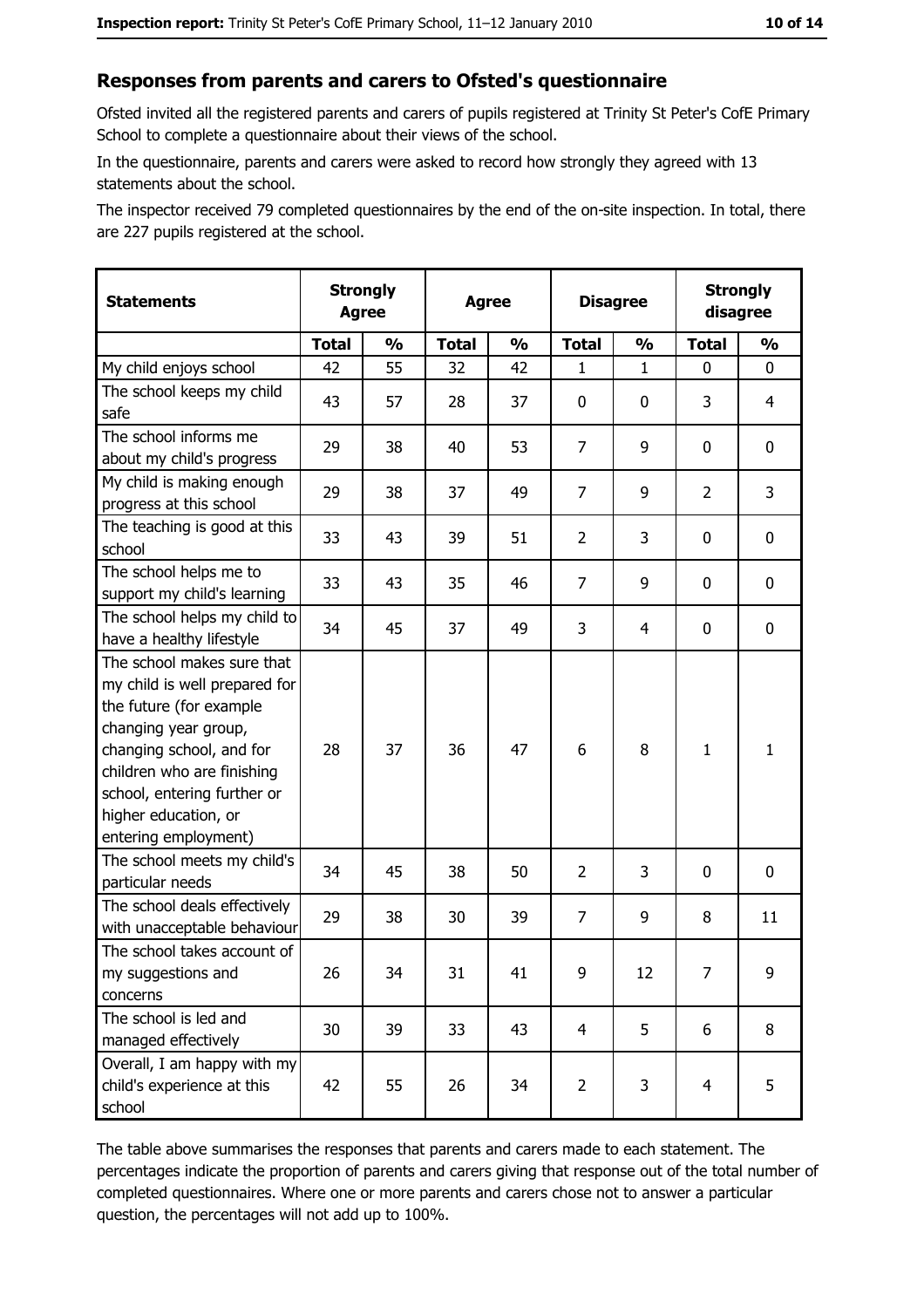#### Responses from parents and carers to Ofsted's questionnaire

Ofsted invited all the registered parents and carers of pupils registered at Trinity St Peter's CofE Primary School to complete a questionnaire about their views of the school.

In the questionnaire, parents and carers were asked to record how strongly they agreed with 13 statements about the school.

The inspector received 79 completed questionnaires by the end of the on-site inspection. In total, there are 227 pupils registered at the school.

| <b>Statements</b>                                                                                                                                                                                                                                       | <b>Strongly</b><br><b>Agree</b> |               | <b>Agree</b> |               |                | <b>Disagree</b> |                | <b>Strongly</b><br>disagree |  |
|---------------------------------------------------------------------------------------------------------------------------------------------------------------------------------------------------------------------------------------------------------|---------------------------------|---------------|--------------|---------------|----------------|-----------------|----------------|-----------------------------|--|
|                                                                                                                                                                                                                                                         | <b>Total</b>                    | $\frac{1}{2}$ | <b>Total</b> | $\frac{0}{0}$ | <b>Total</b>   | $\frac{1}{2}$   | <b>Total</b>   | $\frac{1}{2}$               |  |
| My child enjoys school                                                                                                                                                                                                                                  | 42                              | 55            | 32           | 42            | 1              | $\mathbf 1$     | $\Omega$       | 0                           |  |
| The school keeps my child<br>safe                                                                                                                                                                                                                       | 43                              | 57            | 28           | 37            | $\mathbf 0$    | 0               | 3              | $\overline{4}$              |  |
| The school informs me<br>about my child's progress                                                                                                                                                                                                      | 29                              | 38            | 40           | 53            | $\overline{7}$ | 9               | 0              | 0                           |  |
| My child is making enough<br>progress at this school                                                                                                                                                                                                    | 29                              | 38            | 37           | 49            | $\overline{7}$ | 9               | $\overline{2}$ | 3                           |  |
| The teaching is good at this<br>school                                                                                                                                                                                                                  | 33                              | 43            | 39           | 51            | $\overline{2}$ | 3               | 0              | 0                           |  |
| The school helps me to<br>support my child's learning                                                                                                                                                                                                   | 33                              | 43            | 35           | 46            | $\overline{7}$ | 9               | 0              | 0                           |  |
| The school helps my child to<br>have a healthy lifestyle                                                                                                                                                                                                | 34                              | 45            | 37           | 49            | 3              | 4               | 0              | 0                           |  |
| The school makes sure that<br>my child is well prepared for<br>the future (for example<br>changing year group,<br>changing school, and for<br>children who are finishing<br>school, entering further or<br>higher education, or<br>entering employment) | 28                              | 37            | 36           | 47            | 6              | 8               | $\mathbf{1}$   | $\mathbf{1}$                |  |
| The school meets my child's<br>particular needs                                                                                                                                                                                                         | 34                              | 45            | 38           | 50            | $\overline{2}$ | 3               | 0              | 0                           |  |
| The school deals effectively<br>with unacceptable behaviour                                                                                                                                                                                             | 29                              | 38            | 30           | 39            | $\overline{7}$ | 9               | 8              | 11                          |  |
| The school takes account of<br>my suggestions and<br>concerns                                                                                                                                                                                           | 26                              | 34            | 31           | 41            | 9              | 12              | 7              | 9                           |  |
| The school is led and<br>managed effectively                                                                                                                                                                                                            | 30                              | 39            | 33           | 43            | $\overline{4}$ | 5               | 6              | 8                           |  |
| Overall, I am happy with my<br>child's experience at this<br>school                                                                                                                                                                                     | 42                              | 55            | 26           | 34            | $\overline{2}$ | 3               | 4              | 5                           |  |

The table above summarises the responses that parents and carers made to each statement. The percentages indicate the proportion of parents and carers giving that response out of the total number of completed questionnaires. Where one or more parents and carers chose not to answer a particular question, the percentages will not add up to 100%.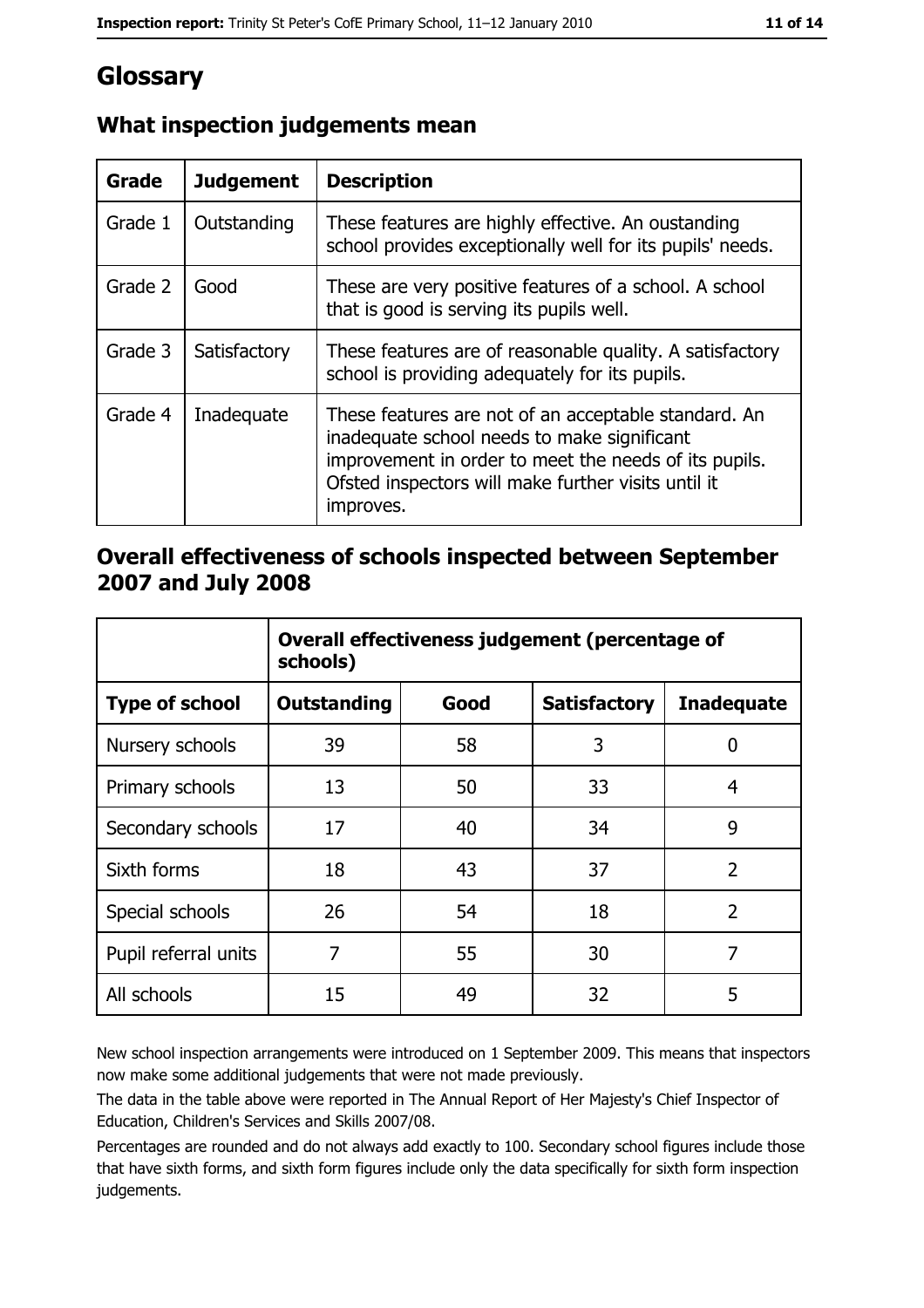# Glossary

| Grade   | <b>Judgement</b> | <b>Description</b>                                                                                                                                                                                                               |  |
|---------|------------------|----------------------------------------------------------------------------------------------------------------------------------------------------------------------------------------------------------------------------------|--|
| Grade 1 | Outstanding      | These features are highly effective. An oustanding<br>school provides exceptionally well for its pupils' needs.                                                                                                                  |  |
| Grade 2 | Good             | These are very positive features of a school. A school<br>that is good is serving its pupils well.                                                                                                                               |  |
| Grade 3 | Satisfactory     | These features are of reasonable quality. A satisfactory<br>school is providing adequately for its pupils.                                                                                                                       |  |
| Grade 4 | Inadequate       | These features are not of an acceptable standard. An<br>inadequate school needs to make significant<br>improvement in order to meet the needs of its pupils.<br>Ofsted inspectors will make further visits until it<br>improves. |  |

# What inspection judgements mean

## Overall effectiveness of schools inspected between September 2007 and July 2008

|                       | Overall effectiveness judgement (percentage of<br>schools) |      |                     |                   |
|-----------------------|------------------------------------------------------------|------|---------------------|-------------------|
| <b>Type of school</b> | <b>Outstanding</b>                                         | Good | <b>Satisfactory</b> | <b>Inadequate</b> |
| Nursery schools       | 39                                                         | 58   | 3                   | 0                 |
| Primary schools       | 13                                                         | 50   | 33                  | 4                 |
| Secondary schools     | 17                                                         | 40   | 34                  | 9                 |
| Sixth forms           | 18                                                         | 43   | 37                  | $\overline{2}$    |
| Special schools       | 26                                                         | 54   | 18                  | $\overline{2}$    |
| Pupil referral units  | 7                                                          | 55   | 30                  | 7                 |
| All schools           | 15                                                         | 49   | 32                  | 5                 |

New school inspection arrangements were introduced on 1 September 2009. This means that inspectors now make some additional judgements that were not made previously.

The data in the table above were reported in The Annual Report of Her Majesty's Chief Inspector of Education, Children's Services and Skills 2007/08.

Percentages are rounded and do not always add exactly to 100. Secondary school figures include those that have sixth forms, and sixth form figures include only the data specifically for sixth form inspection judgements.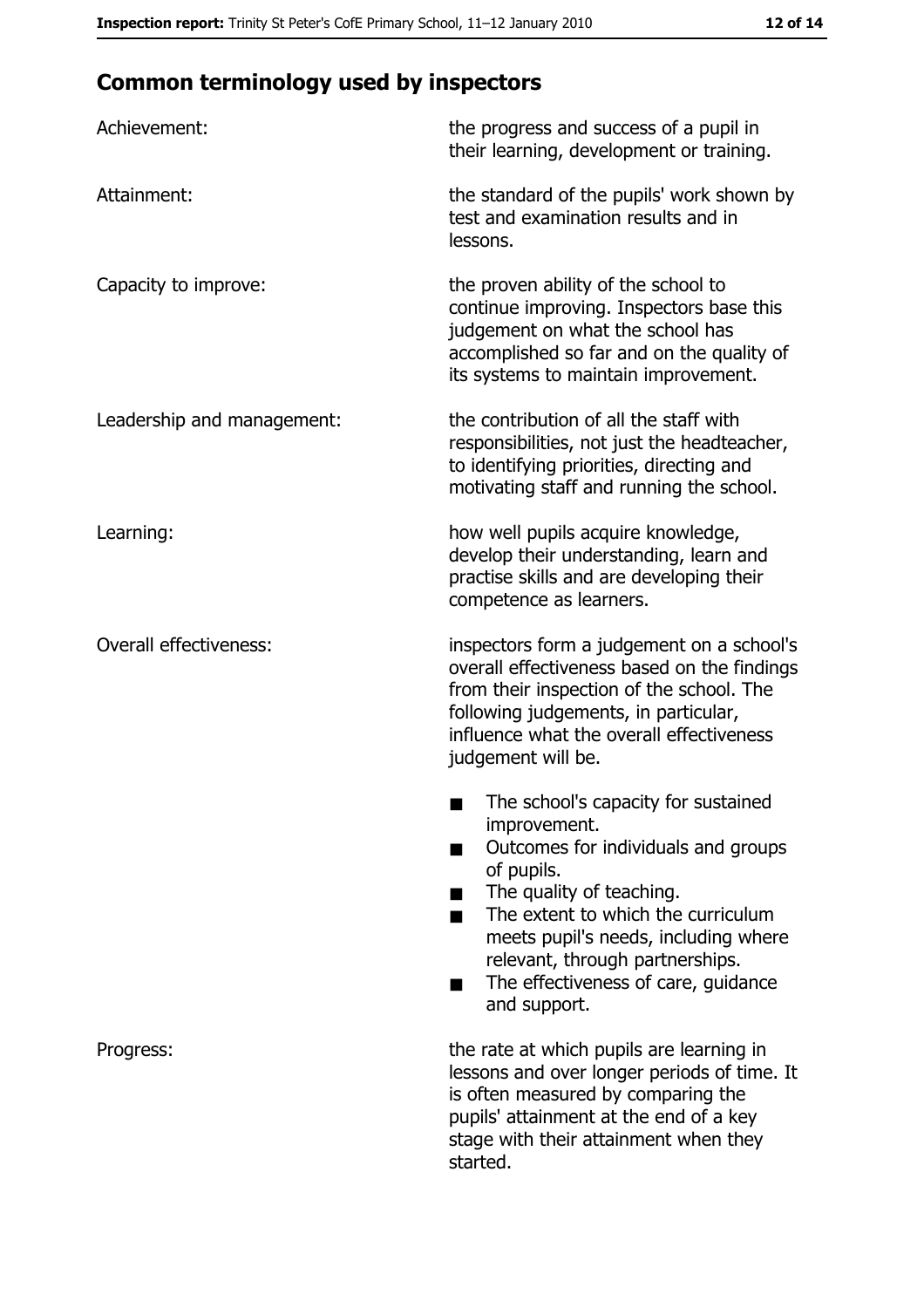# **Common terminology used by inspectors**

| Achievement:                  | the progress and success of a pupil in<br>their learning, development or training.                                                                                                                                                                                                                                |
|-------------------------------|-------------------------------------------------------------------------------------------------------------------------------------------------------------------------------------------------------------------------------------------------------------------------------------------------------------------|
| Attainment:                   | the standard of the pupils' work shown by<br>test and examination results and in<br>lessons.                                                                                                                                                                                                                      |
| Capacity to improve:          | the proven ability of the school to<br>continue improving. Inspectors base this<br>judgement on what the school has<br>accomplished so far and on the quality of<br>its systems to maintain improvement.                                                                                                          |
| Leadership and management:    | the contribution of all the staff with<br>responsibilities, not just the headteacher,<br>to identifying priorities, directing and<br>motivating staff and running the school.                                                                                                                                     |
| Learning:                     | how well pupils acquire knowledge,<br>develop their understanding, learn and<br>practise skills and are developing their<br>competence as learners.                                                                                                                                                               |
| <b>Overall effectiveness:</b> | inspectors form a judgement on a school's<br>overall effectiveness based on the findings<br>from their inspection of the school. The<br>following judgements, in particular,<br>influence what the overall effectiveness<br>judgement will be.                                                                    |
|                               | The school's capacity for sustained<br>improvement.<br>Outcomes for individuals and groups<br>of pupils.<br>The quality of teaching.<br>The extent to which the curriculum<br>meets pupil's needs, including where<br>relevant, through partnerships.<br>The effectiveness of care, guidance<br>■<br>and support. |
| Progress:                     | the rate at which pupils are learning in<br>lessons and over longer periods of time. It<br>is often measured by comparing the<br>pupils' attainment at the end of a key<br>stage with their attainment when they<br>started.                                                                                      |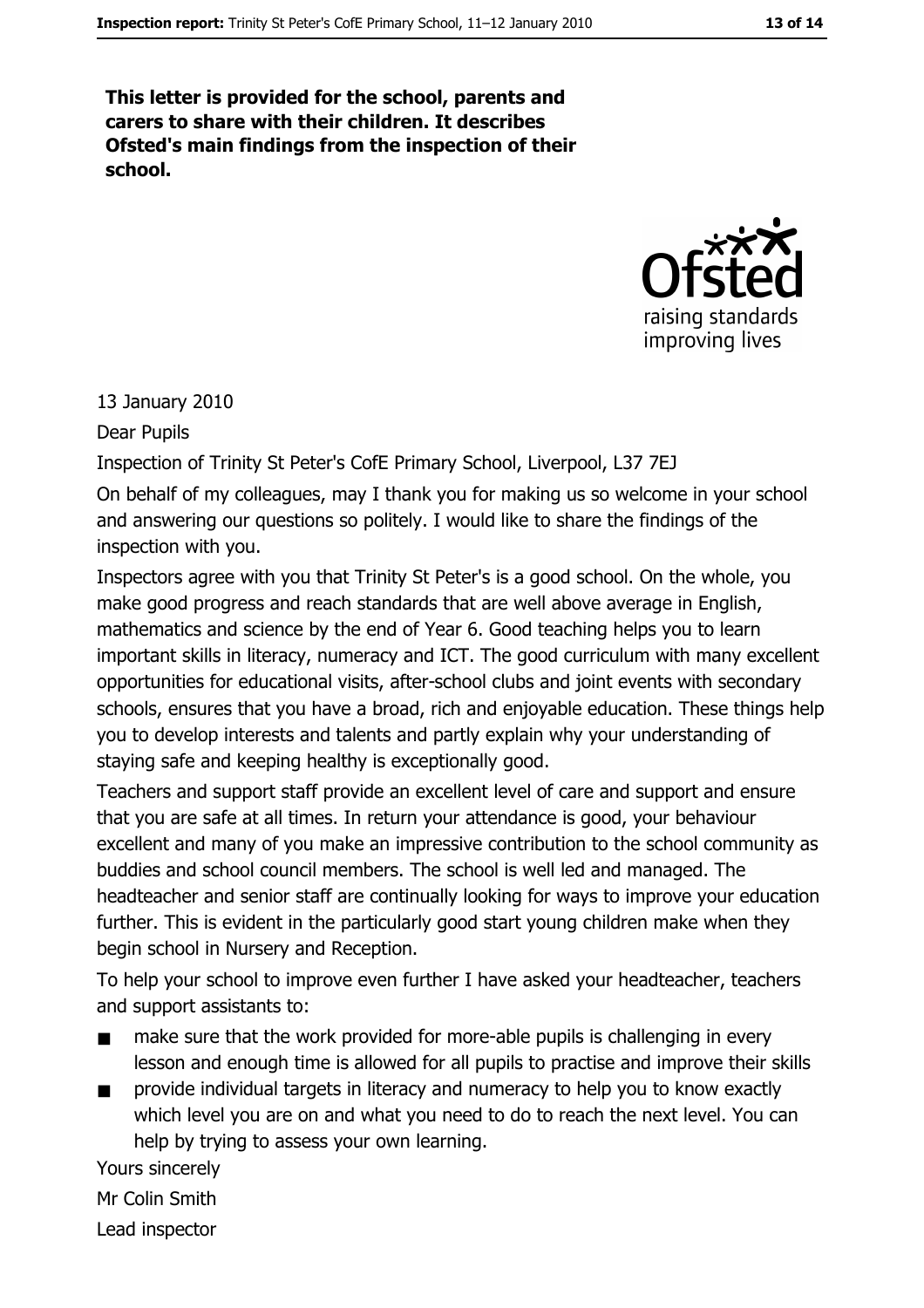This letter is provided for the school, parents and carers to share with their children. It describes Ofsted's main findings from the inspection of their school.



13 January 2010

Dear Pupils

Inspection of Trinity St Peter's CofE Primary School, Liverpool, L37 7EJ

On behalf of my colleagues, may I thank you for making us so welcome in your school and answering our questions so politely. I would like to share the findings of the inspection with you.

Inspectors agree with you that Trinity St Peter's is a good school. On the whole, you make good progress and reach standards that are well above average in English, mathematics and science by the end of Year 6. Good teaching helps you to learn important skills in literacy, numeracy and ICT. The good curriculum with many excellent opportunities for educational visits, after-school clubs and joint events with secondary schools, ensures that you have a broad, rich and enjoyable education. These things help you to develop interests and talents and partly explain why your understanding of staying safe and keeping healthy is exceptionally good.

Teachers and support staff provide an excellent level of care and support and ensure that you are safe at all times. In return your attendance is good, your behaviour excellent and many of you make an impressive contribution to the school community as buddies and school council members. The school is well led and managed. The headteacher and senior staff are continually looking for ways to improve your education further. This is evident in the particularly good start young children make when they begin school in Nursery and Reception.

To help your school to improve even further I have asked your headteacher, teachers and support assistants to:

- make sure that the work provided for more-able pupils is challenging in every  $\blacksquare$ lesson and enough time is allowed for all pupils to practise and improve their skills
- provide individual targets in literacy and numeracy to help you to know exactly  $\blacksquare$ which level you are on and what you need to do to reach the next level. You can help by trying to assess your own learning.

Yours sincerely

Mr Colin Smith Lead inspector